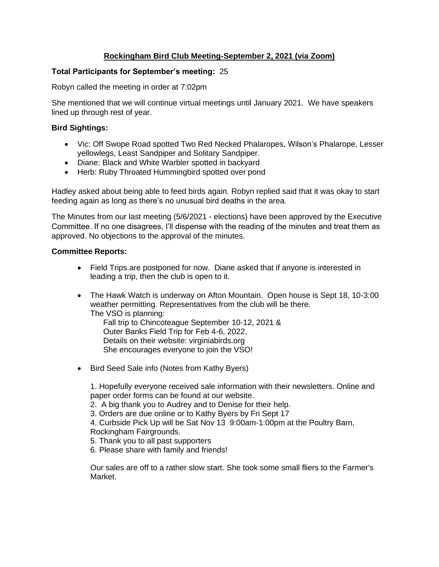# **Rockingham Bird Club Meeting-September 2, 2021 (via Zoom)**

### **Total Participants for September's meeting:** 25

Robyn called the meeting in order at 7:02pm

She mentioned that we will continue virtual meetings until January 2021. We have speakers lined up through rest of year.

## **Bird Sightings:**

- Vic: Off Swope Road spotted Two Red Necked Phalaropes, Wilson's Phalarope, Lesser yellowlegs, Least Sandpiper and Solitary Sandpiper.
- Diane: Black and White Warbler spotted in backyard
- Herb: Ruby Throated Hummingbird spotted over pond

Hadley asked about being able to feed birds again. Robyn replied said that it was okay to start feeding again as long as there's no unusual bird deaths in the area.

The Minutes from our last meeting (5/6/2021 - elections) have been approved by the Executive Committee. If no one disagrees, I'll dispense with the reading of the minutes and treat them as approved. No objections to the approval of the minutes.

### **Committee Reports:**

- Field Trips are postponed for now. Diane asked that if anyone is interested in leading a trip, then the club is open to it.
- The Hawk Watch is underway on Afton Mountain. Open house is Sept 18, 10-3:00 weather permitting. Representatives from the club will be there. The VSO is planning:

Fall trip to Chincoteague September 10-12, 2021 & Outer Banks Field Trip for Feb 4-6, 2022. Details on their website: virginiabirds.org She encourages everyone to join the VSO!

• Bird Seed Sale info (Notes from Kathy Byers)

1. Hopefully everyone received sale information with their newsletters. Online and paper order forms can be found at our website.

2. A big thank you to Audrey and to Denise for their help.

3. Orders are due online or to Kathy Byers by Fri Sept 17

4. Curbside Pick Up will be Sat Nov 13 9:00am-1:00pm at the Poultry Barn, Rockingham Fairgrounds.

- 5. Thank you to all past supporters
- 6. Please share with family and friends!

Our sales are off to a rather slow start. She took some small fliers to the Farmer's Market.